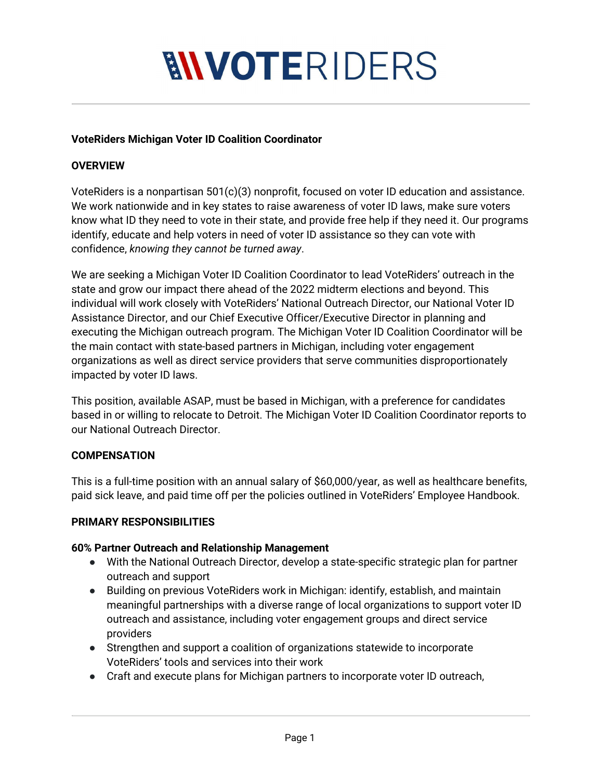# **MVOTERIDERS**

#### **VoteRiders Michigan Voter ID Coalition Coordinator**

### **OVERVIEW**

VoteRiders is a nonpartisan 501(c)(3) nonprofit, focused on voter ID education and assistance. We work nationwide and in key states to raise awareness of voter ID laws, make sure voters know what ID they need to vote in their state, and provide free help if they need it. Our programs identify, educate and help voters in need of voter ID assistance so they can vote with confidence, *knowing they cannot be turned away*.

We are seeking a Michigan Voter ID Coalition Coordinator to lead VoteRiders' outreach in the state and grow our impact there ahead of the 2022 midterm elections and beyond. This individual will work closely with VoteRiders' National Outreach Director, our National Voter ID Assistance Director, and our Chief Executive Officer/Executive Director in planning and executing the Michigan outreach program. The Michigan Voter ID Coalition Coordinator will be the main contact with state-based partners in Michigan, including voter engagement organizations as well as direct service providers that serve communities disproportionately impacted by voter ID laws.

This position, available ASAP, must be based in Michigan, with a preference for candidates based in or willing to relocate to Detroit. The Michigan Voter ID Coalition Coordinator reports to our National Outreach Director.

#### **COMPENSATION**

This is a full-time position with an annual salary of \$60,000/year, as well as healthcare benefits, paid sick leave, and paid time off per the policies outlined in VoteRiders' Employee Handbook.

#### **PRIMARY RESPONSIBILITIES**

#### **60% Partner Outreach and Relationship Management**

- With the National Outreach Director, develop a state-specific strategic plan for partner outreach and support
- Building on previous VoteRiders work in Michigan: identify, establish, and maintain meaningful partnerships with a diverse range of local organizations to support voter ID outreach and assistance, including voter engagement groups and direct service providers
- Strengthen and support a coalition of organizations statewide to incorporate VoteRiders' tools and services into their work
- Craft and execute plans for Michigan partners to incorporate voter ID outreach,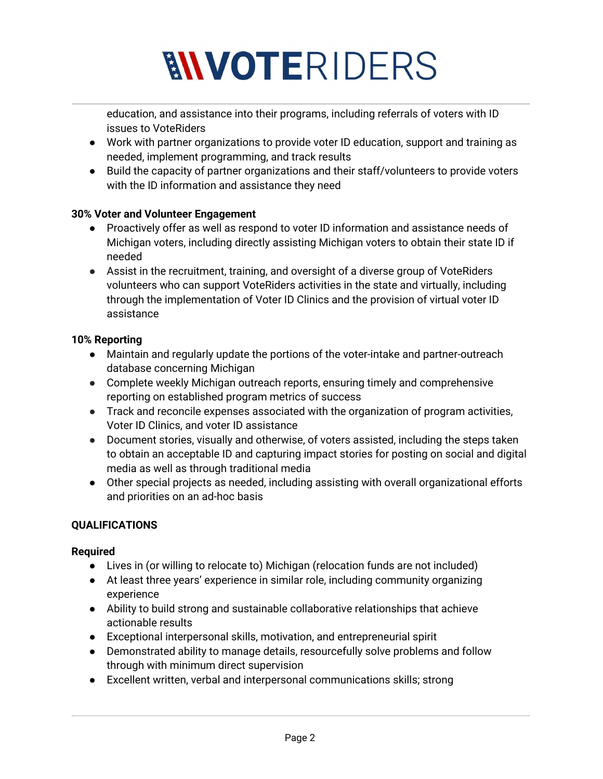# **MVOTERIDERS**

education, and assistance into their programs, including referrals of voters with ID issues to VoteRiders

- Work with partner organizations to provide voter ID education, support and training as needed, implement programming, and track results
- Build the capacity of partner organizations and their staff/volunteers to provide voters with the ID information and assistance they need

## **30% Voter and Volunteer Engagement**

- Proactively offer as well as respond to voter ID information and assistance needs of Michigan voters, including directly assisting Michigan voters to obtain their state ID if needed
- Assist in the recruitment, training, and oversight of a diverse group of VoteRiders volunteers who can support VoteRiders activities in the state and virtually, including through the implementation of Voter ID Clinics and the provision of virtual voter ID assistance

## **10% Reporting**

- Maintain and regularly update the portions of the voter-intake and partner-outreach database concerning Michigan
- Complete weekly Michigan outreach reports, ensuring timely and comprehensive reporting on established program metrics of success
- Track and reconcile expenses associated with the organization of program activities, Voter ID Clinics, and voter ID assistance
- Document stories, visually and otherwise, of voters assisted, including the steps taken to obtain an acceptable ID and capturing impact stories for posting on social and digital media as well as through traditional media
- Other special projects as needed, including assisting with overall organizational efforts and priorities on an ad-hoc basis

# **QUALIFICATIONS**

# **Required**

- Lives in (or willing to relocate to) Michigan (relocation funds are not included)
- At least three years' experience in similar role, including community organizing experience
- Ability to build strong and sustainable collaborative relationships that achieve actionable results
- Exceptional interpersonal skills, motivation, and entrepreneurial spirit
- Demonstrated ability to manage details, resourcefully solve problems and follow through with minimum direct supervision
- Excellent written, verbal and interpersonal communications skills; strong